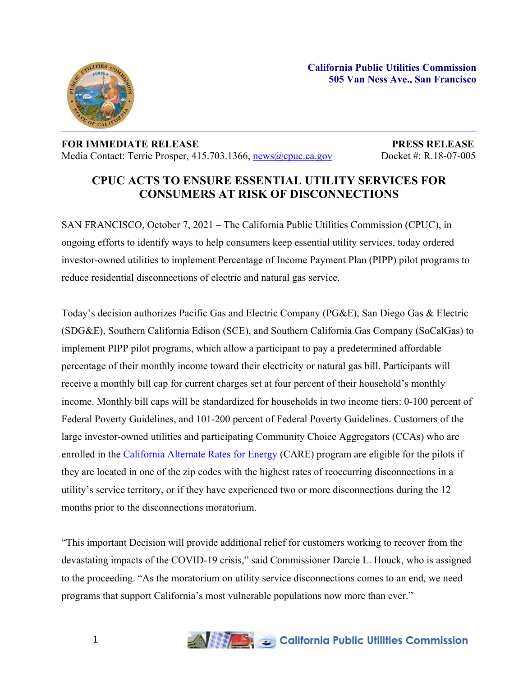

## **FOR IMMEDIATE RELEASE PRESS RELEASE** Media Contact: Terrie Prosper, 415.703.1366, [news@cpuc.ca.gov](mailto:news@cpuc.ca.gov) Docket #: R.18-07-005

## **CPUC ACTS TO ENSURE ESSENTIAL UTILITY SERVICES FOR CONSUMERS AT RISK OF DISCONNECTIONS**

SAN FRANCISCO, October 7, 2021 – The California Public Utilities Commission (CPUC), in ongoing efforts to identify ways to help consumers keep essential utility services, today ordered investor-owned utilities to implement Percentage of Income Payment Plan (PIPP) pilot programs to reduce residential disconnections of electric and natural gas service.

Today's decision authorizes Pacific Gas and Electric Company (PG&E), San Diego Gas & Electric (SDG&E), Southern California Edison (SCE), and Southern California Gas Company (SoCalGas) to implement PIPP pilot programs, which allow a participant to pay a predetermined affordable percentage of their monthly income toward their electricity or natural gas bill. Participants will receive a monthly bill cap for current charges set at four percent of their household's monthly income. Monthly bill caps will be standardized for households in two income tiers: 0-100 percent of Federal Poverty Guidelines, and 101-200 percent of Federal Poverty Guidelines. Customers of the large investor-owned utilities and participating Community Choice Aggregators (CCAs) who are enrolled in the [California](https://www.cpuc.ca.gov/care/) Alternate Rates for Energy (CARE) program are eligible for the pilots if they are located in one of the zip codes with the highest rates of reoccurring disconnections in a utility's service territory, or if they have experienced two or more disconnections during the 12 months prior to the disconnections moratorium.

"This important Decision will provide additional relief for customers working to recover from the devastating impacts of the COVID-19 crisis," said Commissioner Darcie L. Houck, who is assigned to the proceeding. "As the moratorium on utility service disconnections comes to an end, we need programs that support California's most vulnerable populations now more than ever."

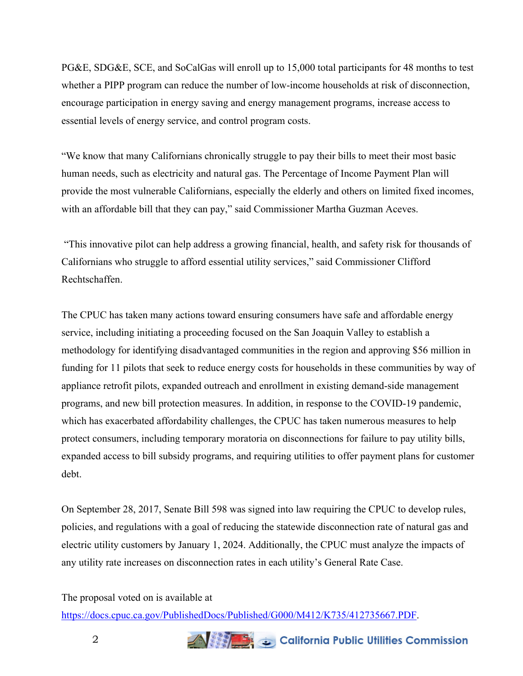PG&E, SDG&E, SCE, and SoCalGas will enroll up to 15,000 total participants for 48 months to test whether a PIPP program can reduce the number of low-income households at risk of disconnection, encourage participation in energy saving and energy management programs, increase access to essential levels of energy service, and control program costs.

"We know that many Californians chronically struggle to pay their bills to meet their most basic human needs, such as electricity and natural gas. The Percentage of Income Payment Plan will provide the most vulnerable Californians, especially the elderly and others on limited fixed incomes, with an affordable bill that they can pay," said Commissioner Martha Guzman Aceves.

"This innovative pilot can help address a growing financial, health, and safety risk for thousands of Californians who struggle to afford essential utility services," said Commissioner Clifford Rechtschaffen.

The CPUC has taken many actions toward ensuring consumers have safe and affordable energy service, including initiating a proceeding focused on the San Joaquin Valley to establish a methodology for identifying disadvantaged communities in the region and approving \$56 million in funding for 11 pilots that seek to reduce energy costs for households in these communities by way of appliance retrofit pilots, expanded outreach and enrollment in existing demand-side management programs, and new bill protection measures. In addition, in response to the COVID-19 pandemic, which has exacerbated affordability challenges, the CPUC has taken numerous measures to help protect consumers, including temporary moratoria on disconnections for failure to pay utility bills, expanded access to bill subsidy programs, and requiring utilities to offer payment plans for customer debt.

On September 28, 2017, Senate Bill 598 was signed into law requiring the CPUC to develop rules, policies, and regulations with a goal of reducing the statewide disconnection rate of natural gas and electric utility customers by January 1, 2024. Additionally, the CPUC must analyze the impacts of any utility rate increases on disconnection rates in each utility's General Rate Case.

The proposal voted on is available at

[https://docs.cpuc.ca.gov/PublishedDocs/Published/G000/M412/K735/412735667.PDF.](https://docs.cpuc.ca.gov/PublishedDocs/Published/G000/M412/K735/412735667.PDF)